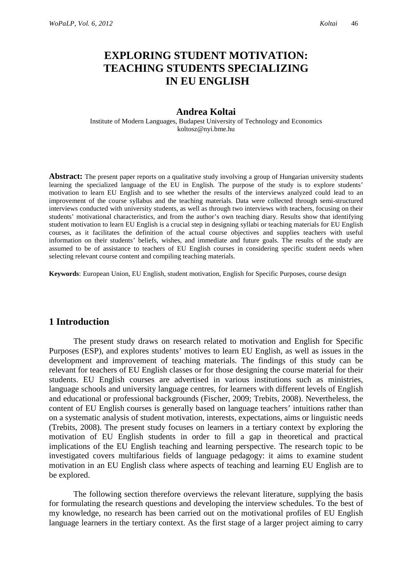# **EXPLORING STUDENT MOTIVATION: TEACHING STUDENTS SPECIALIZING IN EU ENGLISH**

#### **Andrea Koltai**

Institute of Modern Languages, Budapest University of Technology and Economics koltosz@nyi.bme.hu

**Abstract:** The present paper reports on a qualitative study involving a group of Hungarian university students learning the specialized language of the EU in English. The purpose of the study is to explore students' motivation to learn EU English and to see whether the results of the interviews analyzed could lead to an improvement of the course syllabus and the teaching materials. Data were collected through semi-structured interviews conducted with university students, as well as through two interviews with teachers, focusing on their students' motivational characteristics, and from the author's own teaching diary. Results show that identifying student motivation to learn EU English is a crucial step in designing syllabi or teaching materials for EU English courses, as it facilitates the definition of the actual course objectives and supplies teachers with useful information on their students' beliefs, wishes, and immediate and future goals. The results of the study are assumed to be of assistance to teachers of EU English courses in considering specific student needs when selecting relevant course content and compiling teaching materials.

**Keywords**: European Union, EU English, student motivation, English for Specific Purposes, course design

### **1 Introduction**

 The present study draws on research related to motivation and English for Specific Purposes (ESP), and explores students' motives to learn EU English, as well as issues in the development and improvement of teaching materials. The findings of this study can be relevant for teachers of EU English classes or for those designing the course material for their students. EU English courses are advertised in various institutions such as ministries, language schools and university language centres, for learners with different levels of English and educational or professional backgrounds (Fischer, 2009; Trebits, 2008). Nevertheless, the content of EU English courses is generally based on language teachers' intuitions rather than on a systematic analysis of student motivation, interests, expectations, aims or linguistic needs (Trebits, 2008). The present study focuses on learners in a tertiary context by exploring the motivation of EU English students in order to fill a gap in theoretical and practical implications of the EU English teaching and learning perspective. The research topic to be investigated covers multifarious fields of language pedagogy: it aims to examine student motivation in an EU English class where aspects of teaching and learning EU English are to be explored.

The following section therefore overviews the relevant literature, supplying the basis for formulating the research questions and developing the interview schedules. To the best of my knowledge, no research has been carried out on the motivational profiles of EU English language learners in the tertiary context. As the first stage of a larger project aiming to carry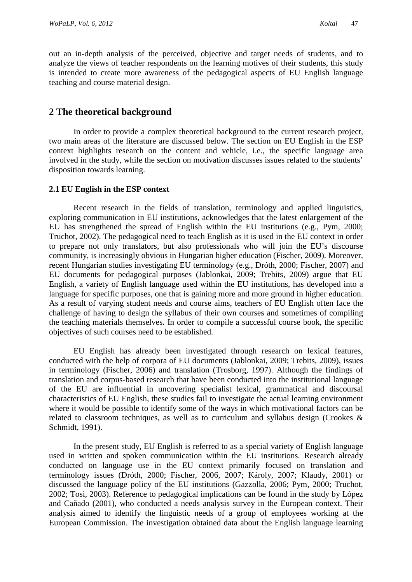out an in-depth analysis of the perceived, objective and target needs of students, and to analyze the views of teacher respondents on the learning motives of their students, this study is intended to create more awareness of the pedagogical aspects of EU English language teaching and course material design.

### **2 The theoretical background**

In order to provide a complex theoretical background to the current research project, two main areas of the literature are discussed below. The section on EU English in the ESP context highlights research on the content and vehicle, i.e., the specific language area involved in the study, while the section on motivation discusses issues related to the students' disposition towards learning.

### **2.1 EU English in the ESP context**

 Recent research in the fields of translation, terminology and applied linguistics, exploring communication in EU institutions, acknowledges that the latest enlargement of the EU has strengthened the spread of English within the EU institutions (e.g., Pym, 2000; Truchot, 2002). The pedagogical need to teach English as it is used in the EU context in order to prepare not only translators, but also professionals who will join the EU's discourse community, is increasingly obvious in Hungarian higher education (Fischer, 2009). Moreover, recent Hungarian studies investigating EU terminology (e.g., Dróth, 2000; Fischer, 2007) and EU documents for pedagogical purposes (Jablonkai, 2009; Trebits, 2009) argue that EU English, a variety of English language used within the EU institutions, has developed into a language for specific purposes, one that is gaining more and more ground in higher education. As a result of varying student needs and course aims, teachers of EU English often face the challenge of having to design the syllabus of their own courses and sometimes of compiling the teaching materials themselves. In order to compile a successful course book, the specific objectives of such courses need to be established.

 EU English has already been investigated through research on lexical features, conducted with the help of corpora of EU documents (Jablonkai, 2009; Trebits, 2009), issues in terminology (Fischer, 2006) and translation (Trosborg, 1997). Although the findings of translation and corpus-based research that have been conducted into the institutional language of the EU are influential in uncovering specialist lexical, grammatical and discoursal characteristics of EU English, these studies fail to investigate the actual learning environment where it would be possible to identify some of the ways in which motivational factors can be related to classroom techniques, as well as to curriculum and syllabus design (Crookes & Schmidt, 1991).

 In the present study, EU English is referred to as a special variety of English language used in written and spoken communication within the EU institutions. Research already conducted on language use in the EU context primarily focused on translation and terminology issues (Dróth, 2000; Fischer, 2006, 2007; Károly, 2007; Klaudy, 2001) or discussed the language policy of the EU institutions (Gazzolla, 2006; Pym, 2000; Truchot, 2002; Tosi, 2003). Reference to pedagogical implications can be found in the study by López and Cañado (2001), who conducted a needs analysis survey in the European context. Their analysis aimed to identify the linguistic needs of a group of employees working at the European Commission. The investigation obtained data about the English language learning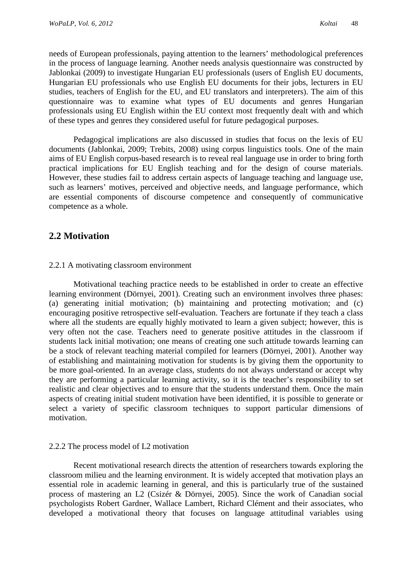needs of European professionals, paying attention to the learners' methodological preferences in the process of language learning. Another needs analysis questionnaire was constructed by Jablonkai (2009) to investigate Hungarian EU professionals (users of English EU documents, Hungarian EU professionals who use English EU documents for their jobs, lecturers in EU studies, teachers of English for the EU, and EU translators and interpreters). The aim of this questionnaire was to examine what types of EU documents and genres Hungarian professionals using EU English within the EU context most frequently dealt with and which of these types and genres they considered useful for future pedagogical purposes.

 Pedagogical implications are also discussed in studies that focus on the lexis of EU documents (Jablonkai, 2009; Trebits, 2008) using corpus linguistics tools. One of the main aims of EU English corpus-based research is to reveal real language use in order to bring forth practical implications for EU English teaching and for the design of course materials. However, these studies fail to address certain aspects of language teaching and language use, such as learners' motives, perceived and objective needs, and language performance, which are essential components of discourse competence and consequently of communicative competence as a whole.

## **2.2 Motivation**

#### 2.2.1 A motivating classroom environment

 Motivational teaching practice needs to be established in order to create an effective learning environment (Dörnyei, 2001). Creating such an environment involves three phases: (a) generating initial motivation; (b) maintaining and protecting motivation; and (c) encouraging positive retrospective self-evaluation. Teachers are fortunate if they teach a class where all the students are equally highly motivated to learn a given subject; however, this is very often not the case. Teachers need to generate positive attitudes in the classroom if students lack initial motivation; one means of creating one such attitude towards learning can be a stock of relevant teaching material compiled for learners (Dörnyei, 2001). Another way of establishing and maintaining motivation for students is by giving them the opportunity to be more goal-oriented. In an average class, students do not always understand or accept why they are performing a particular learning activity, so it is the teacher's responsibility to set realistic and clear objectives and to ensure that the students understand them. Once the main aspects of creating initial student motivation have been identified, it is possible to generate or select a variety of specific classroom techniques to support particular dimensions of motivation.

#### 2.2.2 The process model of L2 motivation

 Recent motivational research directs the attention of researchers towards exploring the classroom milieu and the learning environment. It is widely accepted that motivation plays an essential role in academic learning in general, and this is particularly true of the sustained process of mastering an L2 (Csizér & Dörnyei, 2005). Since the work of Canadian social psychologists Robert Gardner, Wallace Lambert, Richard Clément and their associates, who developed a motivational theory that focuses on language attitudinal variables using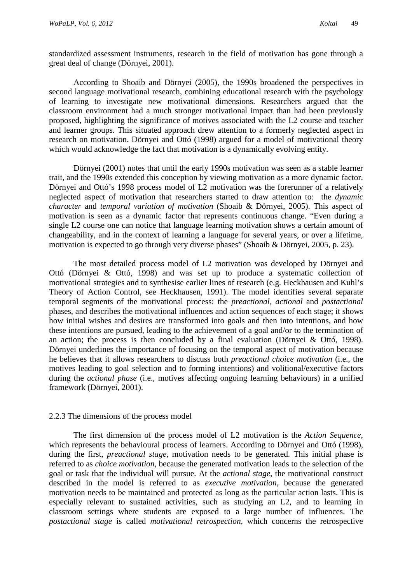standardized assessment instruments, research in the field of motivation has gone through a great deal of change (Dörnyei, 2001).

 According to Shoaib and Dörnyei (2005), the 1990s broadened the perspectives in second language motivational research, combining educational research with the psychology of learning to investigate new motivational dimensions. Researchers argued that the classroom environment had a much stronger motivational impact than had been previously proposed, highlighting the significance of motives associated with the L2 course and teacher and learner groups. This situated approach drew attention to a formerly neglected aspect in research on motivation. Dörnyei and Ottó (1998) argued for a model of motivational theory which would acknowledge the fact that motivation is a dynamically evolving entity.

 Dörnyei (2001) notes that until the early 1990s motivation was seen as a stable learner trait, and the 1990s extended this conception by viewing motivation as a more dynamic factor. Dörnyei and Ottó's 1998 process model of L2 motivation was the forerunner of a relatively neglected aspect of motivation that researchers started to draw attention to: the *dynamic character* and *temporal variation of motivation* (Shoaib & Dörnyei, 2005). This aspect of motivation is seen as a dynamic factor that represents continuous change. "Even during a single L2 course one can notice that language learning motivation shows a certain amount of changeability, and in the context of learning a language for several years, or over a lifetime, motivation is expected to go through very diverse phases" (Shoaib & Dörnyei, 2005, p. 23).

 The most detailed process model of L2 motivation was developed by Dörnyei and Ottó (Dörnyei & Ottó, 1998) and was set up to produce a systematic collection of motivational strategies and to synthesise earlier lines of research (e.g. Heckhausen and Kuhl's Theory of Action Control, see Heckhausen, 1991). The model identifies several separate temporal segments of the motivational process: the *preactional, actional* and *postactional* phases, and describes the motivational influences and action sequences of each stage; it shows how initial wishes and desires are transformed into goals and then into intentions, and how these intentions are pursued, leading to the achievement of a goal and/or to the termination of an action; the process is then concluded by a final evaluation (Dörnyei & Ottó, 1998). Dörnyei underlines the importance of focusing on the temporal aspect of motivation because he believes that it allows researchers to discuss both *preactional choice motivation* (i.e., the motives leading to goal selection and to forming intentions) and volitional/executive factors during the *actional phase* (i.e., motives affecting ongoing learning behaviours) in a unified framework (Dörnyei, 2001).

#### 2.2.3 The dimensions of the process model

 The first dimension of the process model of L2 motivation is the *Action Sequence,*  which represents the behavioural process of learners. According to Dörnyei and Ottó (1998), during the first, *preactional stage,* motivation needs to be generated. This initial phase is referred to as *choice motivation*, because the generated motivation leads to the selection of the goal or task that the individual will pursue. At the *actional stage*, the motivational construct described in the model is referred to as *executive motivation,* because the generated motivation needs to be maintained and protected as long as the particular action lasts. This is especially relevant to sustained activities, such as studying an L2, and to learning in classroom settings where students are exposed to a large number of influences. The *postactional stage* is called *motivational retrospection,* which concerns the retrospective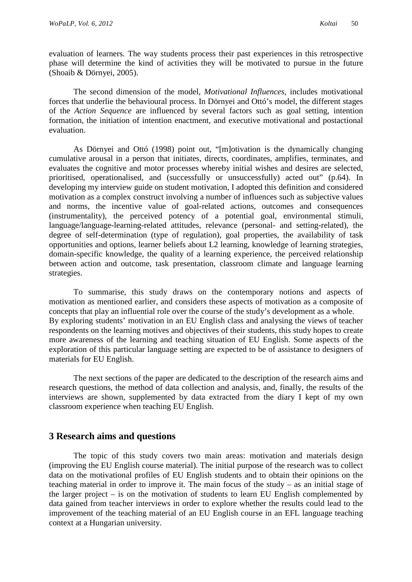evaluation of learners*.* The way students process their past experiences in this retrospective phase will determine the kind of activities they will be motivated to pursue in the future (Shoaib & Dörnyei, 2005).

 The second dimension of the model, *Motivational Influences*, includes motivational forces that underlie the behavioural process. In Dörnyei and Ottó's model, the different stages of the *Action Sequence* are influenced by several factors such as goal setting, intention formation, the initiation of intention enactment, and executive motivational and postactional evaluation.

 As Dörnyei and Ottó (1998) point out, "[m]otivation is the dynamically changing cumulative arousal in a person that initiates, directs, coordinates, amplifies, terminates, and evaluates the cognitive and motor processes whereby initial wishes and desires are selected, prioritised, operationalised, and (successfully or unsuccessfully) acted out" (p.64). In developing my interview guide on student motivation, I adopted this definition and considered motivation as a complex construct involving a number of influences such as subjective values and norms, the incentive value of goal-related actions, outcomes and consequences (instrumentality), the perceived potency of a potential goal, environmental stimuli, language/language-learning-related attitudes, relevance (personal- and setting-related), the degree of self-determination (type of regulation), goal properties, the availability of task opportunities and options, learner beliefs about L2 learning, knowledge of learning strategies, domain-specific knowledge, the quality of a learning experience, the perceived relationship between action and outcome, task presentation, classroom climate and language learning strategies.

 To summarise, this study draws on the contemporary notions and aspects of motivation as mentioned earlier, and considers these aspects of motivation as a composite of concepts that play an influential role over the course of the study's development as a whole. By exploring students' motivation in an EU English class and analysing the views of teacher respondents on the learning motives and objectives of their students, this study hopes to create more awareness of the learning and teaching situation of EU English. Some aspects of the exploration of this particular language setting are expected to be of assistance to designers of materials for EU English.

 The next sections of the paper are dedicated to the description of the research aims and research questions, the method of data collection and analysis, and, finally, the results of the interviews are shown, supplemented by data extracted from the diary I kept of my own classroom experience when teaching EU English.

### **3 Research aims and questions**

 The topic of this study covers two main areas: motivation and materials design (improving the EU English course material). The initial purpose of the research was to collect data on the motivational profiles of EU English students and to obtain their opinions on the teaching material in order to improve it. The main focus of the study – as an initial stage of the larger project – is on the motivation of students to learn EU English complemented by data gained from teacher interviews in order to explore whether the results could lead to the improvement of the teaching material of an EU English course in an EFL language teaching context at a Hungarian university.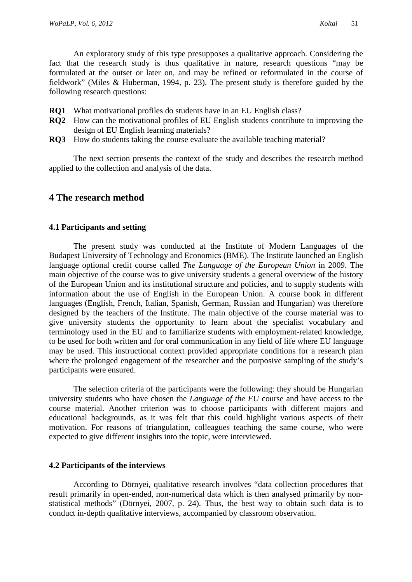An exploratory study of this type presupposes a qualitative approach. Considering the fact that the research study is thus qualitative in nature, research questions "may be formulated at the outset or later on, and may be refined or reformulated in the course of fieldwork" (Miles & Huberman, 1994, p. 23). The present study is therefore guided by the following research questions:

- **RQ1** What motivational profiles do students have in an EU English class?
- **RQ2** How can the motivational profiles of EU English students contribute to improving the design of EU English learning materials?
- **RQ3** How do students taking the course evaluate the available teaching material?

 The next section presents the context of the study and describes the research method applied to the collection and analysis of the data.

### **4 The research method**

#### **4.1 Participants and setting**

 The present study was conducted at the Institute of Modern Languages of the Budapest University of Technology and Economics (BME). The Institute launched an English language optional credit course called *The Language of the European Union* in 2009. The main objective of the course was to give university students a general overview of the history of the European Union and its institutional structure and policies, and to supply students with information about the use of English in the European Union. A course book in different languages (English, French, Italian, Spanish, German, Russian and Hungarian) was therefore designed by the teachers of the Institute. The main objective of the course material was to give university students the opportunity to learn about the specialist vocabulary and terminology used in the EU and to familiarize students with employment-related knowledge, to be used for both written and for oral communication in any field of life where EU language may be used. This instructional context provided appropriate conditions for a research plan where the prolonged engagement of the researcher and the purposive sampling of the study's participants were ensured.

 The selection criteria of the participants were the following: they should be Hungarian university students who have chosen the *Language of the EU* course and have access to the course material. Another criterion was to choose participants with different majors and educational backgrounds, as it was felt that this could highlight various aspects of their motivation. For reasons of triangulation, colleagues teaching the same course, who were expected to give different insights into the topic, were interviewed.

#### **4.2 Participants of the interviews**

 According to Dörnyei, qualitative research involves "data collection procedures that result primarily in open-ended, non-numerical data which is then analysed primarily by nonstatistical methods" (Dörnyei, 2007, p. 24). Thus, the best way to obtain such data is to conduct in-depth qualitative interviews, accompanied by classroom observation.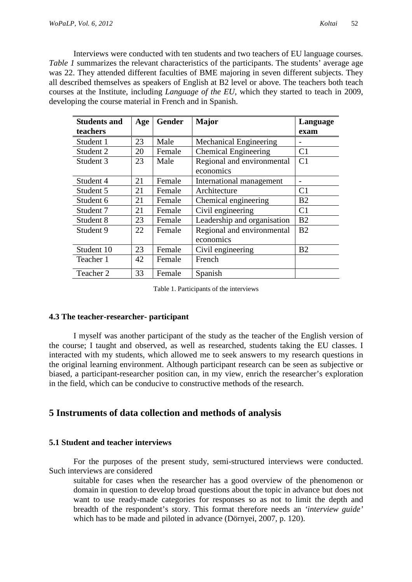Interviews were conducted with ten students and two teachers of EU language courses. *Table 1* summarizes the relevant characteristics of the participants. The students' average age was 22. They attended different faculties of BME majoring in seven different subjects. They all described themselves as speakers of English at B2 level or above. The teachers both teach courses at the Institute, including *Language of the EU*, which they started to teach in 2009, developing the course material in French and in Spanish.

| <b>Students and</b> | Age | <b>Gender</b> | Major                         | Language       |
|---------------------|-----|---------------|-------------------------------|----------------|
| teachers            |     |               |                               | exam           |
| Student 1           | 23  | Male          | <b>Mechanical Engineering</b> |                |
| Student 2           | 20  | Female        | <b>Chemical Engineering</b>   | C <sub>1</sub> |
| Student 3           | 23  | Male          | Regional and environmental    | C <sub>1</sub> |
|                     |     |               | economics                     |                |
| Student 4           | 21  | Female        | International management      |                |
| Student 5           | 21  | Female        | Architecture                  | C <sub>1</sub> |
| Student 6           | 21  | Female        | Chemical engineering          | B <sub>2</sub> |
| Student 7           | 21  | Female        | Civil engineering             | C <sub>1</sub> |
| Student 8           | 23  | Female        | Leadership and organisation   | B2             |
| Student 9           | 22  | Female        | Regional and environmental    | B <sub>2</sub> |
|                     |     |               | economics                     |                |
| Student 10          | 23  | Female        | Civil engineering             | B <sub>2</sub> |
| Teacher 1           | 42  | Female        | French                        |                |
| Teacher 2           | 33  | Female        | Spanish                       |                |

Table 1. Participants of the interviews

### **4.3 The teacher-researcher- participant**

 I myself was another participant of the study as the teacher of the English version of the course; I taught and observed, as well as researched, students taking the EU classes. I interacted with my students, which allowed me to seek answers to my research questions in the original learning environment. Although participant research can be seen as subjective or biased, a participant-researcher position can, in my view, enrich the researcher's exploration in the field, which can be conducive to constructive methods of the research.

### **5 Instruments of data collection and methods of analysis**

### **5.1 Student and teacher interviews**

 For the purposes of the present study, semi-structured interviews were conducted. Such interviews are considered

suitable for cases when the researcher has a good overview of the phenomenon or domain in question to develop broad questions about the topic in advance but does not want to use ready-made categories for responses so as not to limit the depth and breadth of the respondent's story. This format therefore needs an *'interview guide'* which has to be made and piloted in advance (Dörnyei, 2007, p. 120).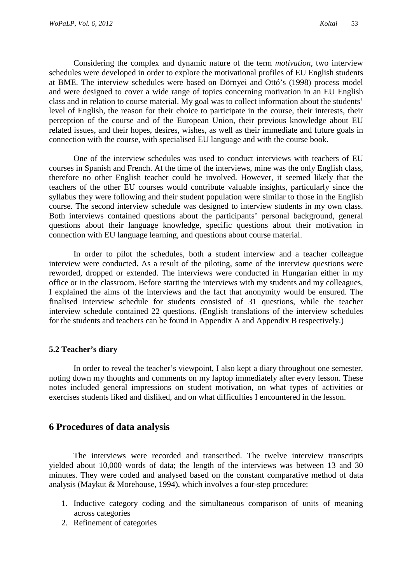Considering the complex and dynamic nature of the term *motivation*, two interview schedules were developed in order to explore the motivational profiles of EU English students at BME. The interview schedules were based on Dörnyei and Ottó's (1998) process model and were designed to cover a wide range of topics concerning motivation in an EU English class and in relation to course material. My goal was to collect information about the students' level of English, the reason for their choice to participate in the course, their interests, their perception of the course and of the European Union, their previous knowledge about EU related issues, and their hopes, desires, wishes, as well as their immediate and future goals in connection with the course, with specialised EU language and with the course book.

 One of the interview schedules was used to conduct interviews with teachers of EU courses in Spanish and French. At the time of the interviews, mine was the only English class, therefore no other English teacher could be involved. However, it seemed likely that the teachers of the other EU courses would contribute valuable insights, particularly since the syllabus they were following and their student population were similar to those in the English course. The second interview schedule was designed to interview students in my own class. Both interviews contained questions about the participants' personal background, general questions about their language knowledge, specific questions about their motivation in connection with EU language learning, and questions about course material.

In order to pilot the schedules, both a student interview and a teacher colleague interview were conducted**.** As a result of the piloting, some of the interview questions were reworded, dropped or extended. The interviews were conducted in Hungarian either in my office or in the classroom. Before starting the interviews with my students and my colleagues, I explained the aims of the interviews and the fact that anonymity would be ensured. The finalised interview schedule for students consisted of 31 questions, while the teacher interview schedule contained 22 questions. (English translations of the interview schedules for the students and teachers can be found in Appendix A and Appendix B respectively.)

### **5.2 Teacher's diary**

 In order to reveal the teacher's viewpoint, I also kept a diary throughout one semester, noting down my thoughts and comments on my laptop immediately after every lesson. These notes included general impressions on student motivation, on what types of activities or exercises students liked and disliked, and on what difficulties I encountered in the lesson.

### **6 Procedures of data analysis**

 The interviews were recorded and transcribed. The twelve interview transcripts yielded about 10,000 words of data; the length of the interviews was between 13 and 30 minutes. They were coded and analysed based on the constant comparative method of data analysis (Maykut & Morehouse, 1994), which involves a four-step procedure:

- 1. Inductive category coding and the simultaneous comparison of units of meaning across categories
- 2. Refinement of categories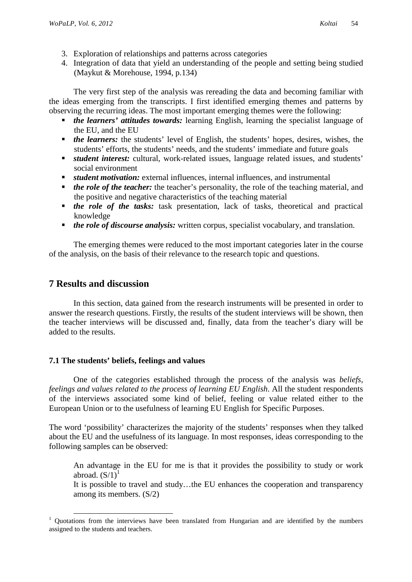- 3. Exploration of relationships and patterns across categories
- 4. Integration of data that yield an understanding of the people and setting being studied (Maykut & Morehouse, 1994, p.134)

 The very first step of the analysis was rereading the data and becoming familiar with the ideas emerging from the transcripts. I first identified emerging themes and patterns by observing the recurring ideas. The most important emerging themes were the following:

- *the learners' attitudes towards:* learning English, learning the specialist language of the EU, and the EU
- *the learners:* the students' level of English, the students' hopes, desires, wishes, the students' efforts, the students' needs, and the students' immediate and future goals
- *student interest:* cultural, work-related issues, language related issues, and students' social environment
- *student motivation:* external influences, internal influences, and instrumental
- **the role of the teacher:** the teacher's personality, the role of the teaching material, and the positive and negative characteristics of the teaching material
- *the role of the tasks:* task presentation, lack of tasks, theoretical and practical knowledge
- *the role of discourse analysis:* written corpus, specialist vocabulary, and translation.

 The emerging themes were reduced to the most important categories later in the course of the analysis, on the basis of their relevance to the research topic and questions.

# **7 Results and discussion**

 In this section, data gained from the research instruments will be presented in order to answer the research questions. Firstly, the results of the student interviews will be shown, then the teacher interviews will be discussed and, finally, data from the teacher's diary will be added to the results.

### **7.1 The students' beliefs, feelings and values**

 One of the categories established through the process of the analysis was *beliefs, feelings and values related to the process of learning EU English*. All the student respondents of the interviews associated some kind of belief, feeling or value related either to the European Union or to the usefulness of learning EU English for Specific Purposes.

The word 'possibility' characterizes the majority of the students' responses when they talked about the EU and the usefulness of its language. In most responses, ideas corresponding to the following samples can be observed:

An advantage in the EU for me is that it provides the possibility to study or work abroad.  $(S/1)^1$ 

 It is possible to travel and study…the EU enhances the cooperation and transparency among its members. (S/2)

 $\overline{a}$ <sup>1</sup> Quotations from the interviews have been translated from Hungarian and are identified by the numbers assigned to the students and teachers.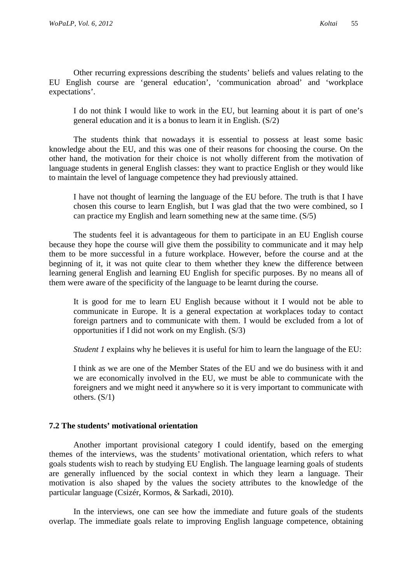Other recurring expressions describing the students' beliefs and values relating to the EU English course are 'general education', 'communication abroad' and 'workplace expectations'.

 I do not think I would like to work in the EU, but learning about it is part of one's general education and it is a bonus to learn it in English. (S/2)

 The students think that nowadays it is essential to possess at least some basic knowledge about the EU, and this was one of their reasons for choosing the course. On the other hand, the motivation for their choice is not wholly different from the motivation of language students in general English classes: they want to practice English or they would like to maintain the level of language competence they had previously attained.

 I have not thought of learning the language of the EU before. The truth is that I have chosen this course to learn English, but I was glad that the two were combined, so I can practice my English and learn something new at the same time. (S/5)

 The students feel it is advantageous for them to participate in an EU English course because they hope the course will give them the possibility to communicate and it may help them to be more successful in a future workplace. However, before the course and at the beginning of it, it was not quite clear to them whether they knew the difference between learning general English and learning EU English for specific purposes. By no means all of them were aware of the specificity of the language to be learnt during the course.

 It is good for me to learn EU English because without it I would not be able to communicate in Europe. It is a general expectation at workplaces today to contact foreign partners and to communicate with them. I would be excluded from a lot of opportunities if I did not work on my English. (S/3)

*Student 1* explains why he believes it is useful for him to learn the language of the EU:

 I think as we are one of the Member States of the EU and we do business with it and we are economically involved in the EU, we must be able to communicate with the foreigners and we might need it anywhere so it is very important to communicate with others.  $(S/1)$ 

### **7.2 The students' motivational orientation**

 Another important provisional category I could identify, based on the emerging themes of the interviews, was the students' motivational orientation, which refers to what goals students wish to reach by studying EU English. The language learning goals of students are generally influenced by the social context in which they learn a language. Their motivation is also shaped by the values the society attributes to the knowledge of the particular language (Csizér, Kormos, & Sarkadi, 2010).

 In the interviews, one can see how the immediate and future goals of the students overlap. The immediate goals relate to improving English language competence, obtaining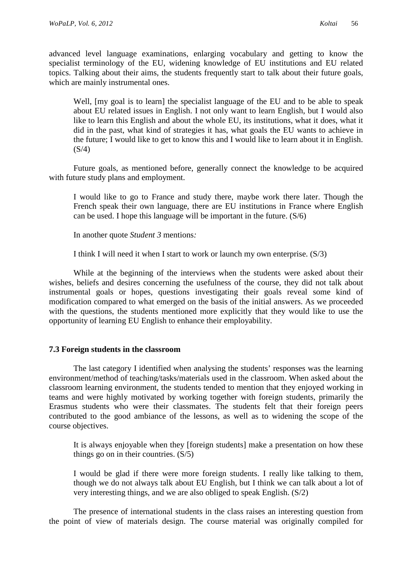advanced level language examinations, enlarging vocabulary and getting to know the specialist terminology of the EU, widening knowledge of EU institutions and EU related topics. Talking about their aims, the students frequently start to talk about their future goals, which are mainly instrumental ones.

Well,  $[my\text{ goal is to learn}]$  the specialist language of the EU and to be able to speak about EU related issues in English. I not only want to learn English, but I would also like to learn this English and about the whole EU, its institutions, what it does, what it did in the past, what kind of strategies it has, what goals the EU wants to achieve in the future; I would like to get to know this and I would like to learn about it in English.  $(S/4)$ 

 Future goals, as mentioned before, generally connect the knowledge to be acquired with future study plans and employment.

 I would like to go to France and study there, maybe work there later. Though the French speak their own language, there are EU institutions in France where English can be used. I hope this language will be important in the future. (S/6)

In another quote *Student 3* mentions*:* 

I think I will need it when I start to work or launch my own enterprise. (S/3)

 While at the beginning of the interviews when the students were asked about their wishes, beliefs and desires concerning the usefulness of the course, they did not talk about instrumental goals or hopes, questions investigating their goals reveal some kind of modification compared to what emerged on the basis of the initial answers. As we proceeded with the questions, the students mentioned more explicitly that they would like to use the opportunity of learning EU English to enhance their employability.

#### **7.3 Foreign students in the classroom**

 The last category I identified when analysing the students' responses was the learning environment/method of teaching/tasks/materials used in the classroom. When asked about the classroom learning environment, the students tended to mention that they enjoyed working in teams and were highly motivated by working together with foreign students, primarily the Erasmus students who were their classmates. The students felt that their foreign peers contributed to the good ambiance of the lessons, as well as to widening the scope of the course objectives.

 It is always enjoyable when they [foreign students] make a presentation on how these things go on in their countries. (S/5)

 I would be glad if there were more foreign students. I really like talking to them, though we do not always talk about EU English, but I think we can talk about a lot of very interesting things, and we are also obliged to speak English. (S/2)

 The presence of international students in the class raises an interesting question from the point of view of materials design. The course material was originally compiled for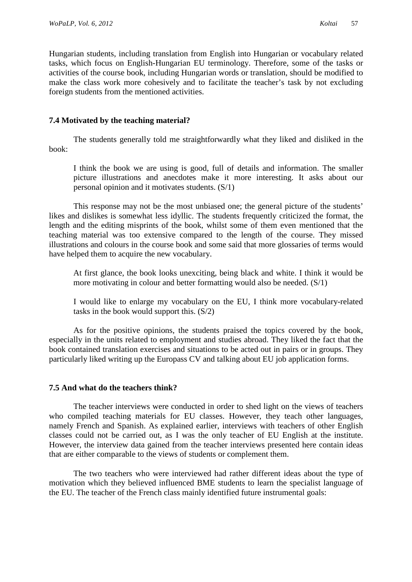Hungarian students, including translation from English into Hungarian or vocabulary related tasks, which focus on English-Hungarian EU terminology. Therefore, some of the tasks or activities of the course book, including Hungarian words or translation, should be modified to make the class work more cohesively and to facilitate the teacher's task by not excluding foreign students from the mentioned activities.

### **7.4 Motivated by the teaching material?**

 The students generally told me straightforwardly what they liked and disliked in the book:

 I think the book we are using is good, full of details and information. The smaller picture illustrations and anecdotes make it more interesting. It asks about our personal opinion and it motivates students. (S/1)

 This response may not be the most unbiased one; the general picture of the students' likes and dislikes is somewhat less idyllic. The students frequently criticized the format, the length and the editing misprints of the book, whilst some of them even mentioned that the teaching material was too extensive compared to the length of the course. They missed illustrations and colours in the course book and some said that more glossaries of terms would have helped them to acquire the new vocabulary.

At first glance, the book looks unexciting, being black and white. I think it would be more motivating in colour and better formatting would also be needed. (S/1)

 I would like to enlarge my vocabulary on the EU, I think more vocabulary-related tasks in the book would support this. (S/2)

 As for the positive opinions, the students praised the topics covered by the book, especially in the units related to employment and studies abroad. They liked the fact that the book contained translation exercises and situations to be acted out in pairs or in groups. They particularly liked writing up the Europass CV and talking about EU job application forms.

#### **7.5 And what do the teachers think?**

 The teacher interviews were conducted in order to shed light on the views of teachers who compiled teaching materials for EU classes. However, they teach other languages, namely French and Spanish. As explained earlier, interviews with teachers of other English classes could not be carried out, as I was the only teacher of EU English at the institute. However, the interview data gained from the teacher interviews presented here contain ideas that are either comparable to the views of students or complement them.

 The two teachers who were interviewed had rather different ideas about the type of motivation which they believed influenced BME students to learn the specialist language of the EU. The teacher of the French class mainly identified future instrumental goals: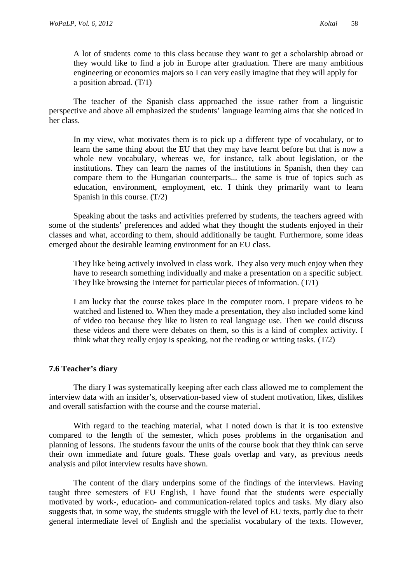A lot of students come to this class because they want to get a scholarship abroad or they would like to find a job in Europe after graduation. There are many ambitious engineering or economics majors so I can very easily imagine that they will apply for a position abroad. (T/1)

 The teacher of the Spanish class approached the issue rather from a linguistic perspective and above all emphasized the students' language learning aims that she noticed in her class.

 In my view, what motivates them is to pick up a different type of vocabulary, or to learn the same thing about the EU that they may have learnt before but that is now a whole new vocabulary, whereas we, for instance, talk about legislation, or the institutions. They can learn the names of the institutions in Spanish, then they can compare them to the Hungarian counterparts... the same is true of topics such as education, environment, employment, etc. I think they primarily want to learn Spanish in this course.  $(T/2)$ 

 Speaking about the tasks and activities preferred by students, the teachers agreed with some of the students' preferences and added what they thought the students enjoyed in their classes and what, according to them, should additionally be taught. Furthermore, some ideas emerged about the desirable learning environment for an EU class.

 They like being actively involved in class work. They also very much enjoy when they have to research something individually and make a presentation on a specific subject. They like browsing the Internet for particular pieces of information. (T/1)

 I am lucky that the course takes place in the computer room. I prepare videos to be watched and listened to. When they made a presentation, they also included some kind of video too because they like to listen to real language use. Then we could discuss these videos and there were debates on them, so this is a kind of complex activity. I think what they really enjoy is speaking, not the reading or writing tasks. (T/2)

### **7.6 Teacher's diary**

 The diary I was systematically keeping after each class allowed me to complement the interview data with an insider's, observation-based view of student motivation, likes, dislikes and overall satisfaction with the course and the course material.

 With regard to the teaching material, what I noted down is that it is too extensive compared to the length of the semester, which poses problems in the organisation and planning of lessons. The students favour the units of the course book that they think can serve their own immediate and future goals. These goals overlap and vary, as previous needs analysis and pilot interview results have shown.

 The content of the diary underpins some of the findings of the interviews. Having taught three semesters of EU English, I have found that the students were especially motivated by work-, education- and communication-related topics and tasks. My diary also suggests that, in some way, the students struggle with the level of EU texts, partly due to their general intermediate level of English and the specialist vocabulary of the texts. However,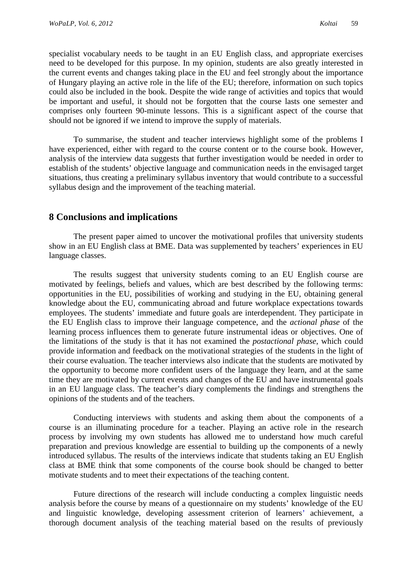specialist vocabulary needs to be taught in an EU English class, and appropriate exercises need to be developed for this purpose. In my opinion, students are also greatly interested in the current events and changes taking place in the EU and feel strongly about the importance of Hungary playing an active role in the life of the EU; therefore, information on such topics could also be included in the book. Despite the wide range of activities and topics that would be important and useful, it should not be forgotten that the course lasts one semester and comprises only fourteen 90-minute lessons. This is a significant aspect of the course that should not be ignored if we intend to improve the supply of materials.

 To summarise, the student and teacher interviews highlight some of the problems I have experienced, either with regard to the course content or to the course book. However, analysis of the interview data suggests that further investigation would be needed in order to establish of the students' objective language and communication needs in the envisaged target situations, thus creating a preliminary syllabus inventory that would contribute to a successful syllabus design and the improvement of the teaching material.

### **8 Conclusions and implications**

 The present paper aimed to uncover the motivational profiles that university students show in an EU English class at BME. Data was supplemented by teachers' experiences in EU language classes.

 The results suggest that university students coming to an EU English course are motivated by feelings, beliefs and values, which are best described by the following terms: opportunities in the EU, possibilities of working and studying in the EU, obtaining general knowledge about the EU, communicating abroad and future workplace expectations towards employees. The students' immediate and future goals are interdependent. They participate in the EU English class to improve their language competence, and the *actional phase* of the learning process influences them to generate future instrumental ideas or objectives. One of the limitations of the study is that it has not examined the *postactional phase*, which could provide information and feedback on the motivational strategies of the students in the light of their course evaluation. The teacher interviews also indicate that the students are motivated by the opportunity to become more confident users of the language they learn, and at the same time they are motivated by current events and changes of the EU and have instrumental goals in an EU language class. The teacher's diary complements the findings and strengthens the opinions of the students and of the teachers.

 Conducting interviews with students and asking them about the components of a course is an illuminating procedure for a teacher. Playing an active role in the research process by involving my own students has allowed me to understand how much careful preparation and previous knowledge are essential to building up the components of a newly introduced syllabus. The results of the interviews indicate that students taking an EU English class at BME think that some components of the course book should be changed to better motivate students and to meet their expectations of the teaching content.

 Future directions of the research will include conducting a complex linguistic needs analysis before the course by means of a questionnaire on my students' knowledge of the EU and linguistic knowledge, developing assessment criterion of learners' achievement, a thorough document analysis of the teaching material based on the results of previously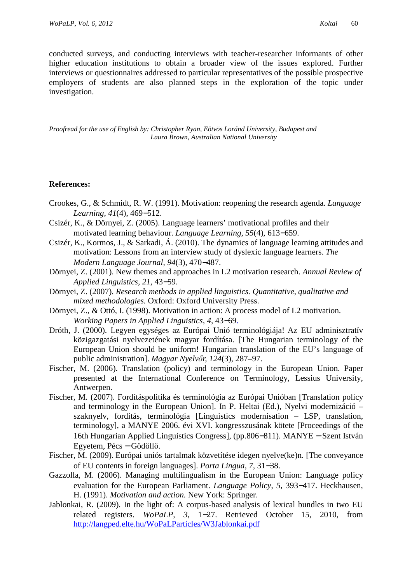conducted surveys, and conducting interviews with teacher-researcher informants of other higher education institutions to obtain a broader view of the issues explored. Further interviews or questionnaires addressed to particular representatives of the possible prospective employers of students are also planned steps in the exploration of the topic under investigation.

*Proofread for the use of English by: Christopher Ryan, Eötvös Loránd University, Budapest and Laura Brown, Australian National University* 

### **References:**

- Crookes, G., & Schmidt, R. W. (1991). Motivation: reopening the research agenda. *Language Learning, 41*(4), 469−512.
- Csizér, K., & Dörnyei, Z. (2005). Language learners' motivational profiles and their motivated learning behaviour. *Language Learning, 55*(4), 613−659.
- Csizér, K., Kormos, J., & Sarkadi, Á. (2010). The dynamics of language learning attitudes and motivation: Lessons from an interview study of dyslexic language learners. *The Modern Language Journal, 94*(3), 470−487.
- Dörnyei, Z. (2001). New themes and approaches in L2 motivation research. *Annual Review of Applied Linguistics, 21,* 43−59.
- Dörnyei, Z. (2007). *Research methods in applied linguistics. Quantitative, qualitative and mixed methodologies.* Oxford: Oxford University Press.
- Dörnyei, Z., & Ottó, I. (1998). Motivation in action: A process model of L2 motivation. *Working Papers in Applied Linguistics, 4,* 43−69.
- Dróth, J. (2000). Legyen egységes az Európai Unió terminológiája! Az EU adminisztratív közigazgatási nyelvezetének magyar fordítása. [The Hungarian terminology of the European Union should be uniform! Hungarian translation of the EU's language of public administration]. *Magyar Nyelvır, 124*(3), 287–97.
- Fischer, M. (2006). Translation (policy) and terminology in the European Union. Paper presented at the International Conference on Terminology, Lessius University, Antwerpen.
- Fischer, M. (2007). Fordításpolitika és terminológia az Európai Unióban [Translation policy and terminology in the European Union]. In P. Heltai (Ed.), Nyelvi modernizáció – szaknyelv, fordítás, terminológia [Linguistics modernisation – LSP, translation, terminology], a MANYE 2006. évi XVI. kongresszusának kötete [Proceedings of the 16th Hungarian Applied Linguistics Congress], (pp.806−811). MANYE − Szent István Egyetem, Pécs − Gödöllı.
- Fischer, M. (2009). Európai uniós tartalmak közvetítése idegen nyelve(ke)n. [The conveyance of EU contents in foreign languages]. *Porta Lingua*, *7*, 31−38.
- Gazzolla, M. (2006). Managing multilingualism in the European Union: Language policy evaluation for the European Parliament. *Language Policy*, *5,* 393−417. Heckhausen, H. (1991). *Motivation and action.* New York: Springer.
- Jablonkai, R. (2009). In the light of: A corpus-based analysis of lexical bundles in two EU related registers. *WoPaLP, 3*, 1−27. Retrieved October 15, 2010, from http://langped.elte.hu/WoPaLParticles/W3Jablonkai.pdf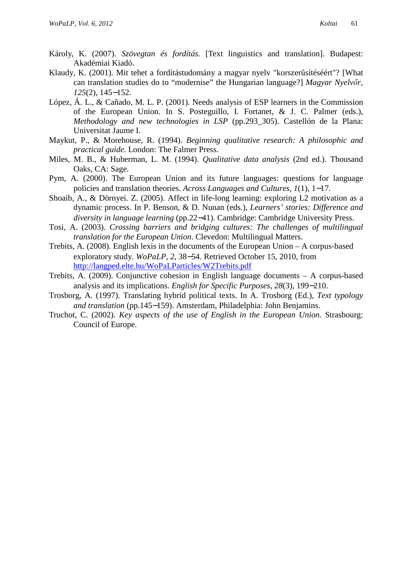- Károly, K. (2007). *Szövegtan és fordítás.* [Text linguistics and translation]. Budapest: Akadémiai Kiadó.
- Klaudy, K. (2001). Mit tehet a fordítástudomány a magyar nyelv "korszerősítéséért"? [What can translation studies do to "modernise" the Hungarian language?] *Magyar Nyelvır, 125*(2), 145−152.
- López, Á. L., & Cañado, M. L. P. (2001). Needs analysis of ESP learners in the Commission of the European Union. In S. Posteguillo, I. Fortanet, & J. C. Palmer (eds.), *Methodology and new technologies in LSP* (pp.293\_305). Castellón de la Plana: Universitat Jaume I.
- Maykut, P., & Morehouse, R. (1994). *Beginning qualitative research: A philosophic and practical guide.* London: The Falmer Press.
- Miles, M. B., & Huberman, L. M. (1994). *Qualitative data analysis* (2nd ed.). Thousand Oaks, CA: Sage.
- Pym, A. (2000). The European Union and its future languages: questions for language policies and translation theories. *Across Languages and Cultures*, *1*(1), 1−17.
- Shoaib, A., & Dörnyei. Z. (2005). Affect in life-long learning: exploring L2 motivation as a dynamic process. In P. Benson, & D. Nunan (eds.), *Learners' stories: Difference and diversity in language learning* (pp.22−41). Cambridge: Cambridge University Press.
- Tosi, A. (2003). *Crossing barriers and bridging cultures: The challenges of multilingual translation for the European Union*. Clevedon: Multilingual Matters.
- Trebits, A. (2008). English lexis in the documents of the European Union A corpus-based exploratory study. *WoPaLP, 2*, 38−54. Retrieved October 15, 2010, from http://langped.elte.hu/WoPaLParticles/W2Trebits.pdf
- Trebits, A. (2009). Conjunctive cohesion in English language documents A corpus-based analysis and its implications. *English for Specific Purposes, 28*(3), 199−210.
- Trosborg, A. (1997). Translating hybrid political texts. In A. Trosborg (Ed.), *Text typology and translation* (pp.145−159). Amsterdam, Philadelphia: John Benjamins.
- Truchot, C. (2002). *Key aspects of the use of English in the European Union.* Strasbourg: Council of Europe.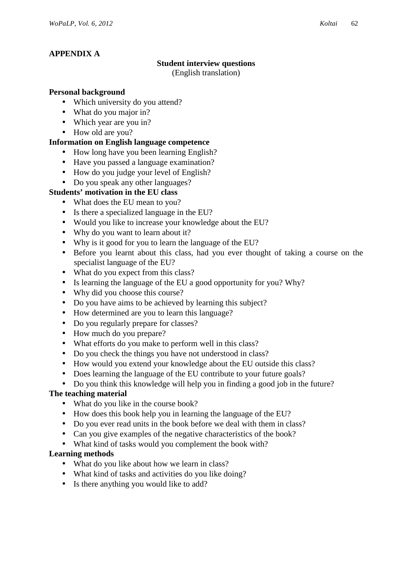# **APPENDIX A**

### **Student interview questions**

(English translation)

### **Personal background**

- Which university do you attend?
- What do you major in?
- Which year are you in?
- How old are you?

## **Information on English language competence**

- How long have you been learning English?
- Have you passed a language examination?
- How do you judge your level of English?
- Do you speak any other languages?

# **Students' motivation in the EU class**

- What does the EU mean to you?
- Is there a specialized language in the EU?
- Would you like to increase your knowledge about the EU?
- Why do you want to learn about it?
- Why is it good for you to learn the language of the EU?
- Before you learnt about this class, had you ever thought of taking a course on the specialist language of the EU?
- What do you expect from this class?
- Is learning the language of the EU a good opportunity for you? Why?
- Why did you choose this course?
- Do you have aims to be achieved by learning this subject?
- How determined are you to learn this language?
- Do you regularly prepare for classes?
- How much do you prepare?
- What efforts do you make to perform well in this class?
- Do you check the things you have not understood in class?
- How would you extend your knowledge about the EU outside this class?
- Does learning the language of the EU contribute to your future goals?
- Do you think this knowledge will help you in finding a good job in the future?

# **The teaching material**

- What do you like in the course book?
- How does this book help you in learning the language of the EU?
- Do you ever read units in the book before we deal with them in class?
- Can you give examples of the negative characteristics of the book?
- What kind of tasks would you complement the book with?

# **Learning methods**

- What do you like about how we learn in class?
- What kind of tasks and activities do you like doing?
- Is there anything you would like to add?